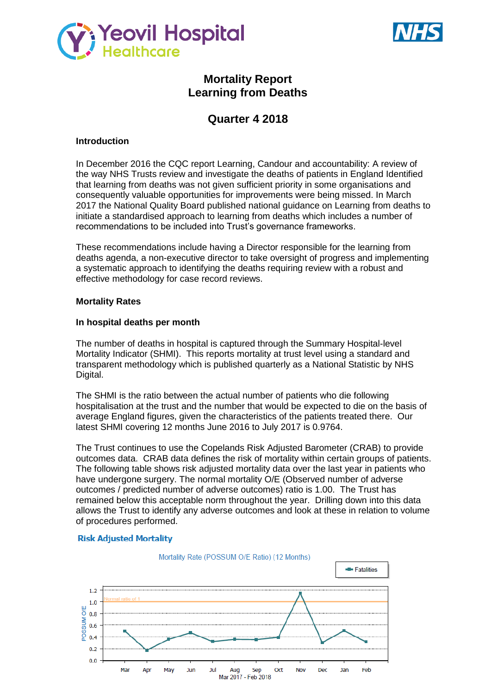



# **Mortality Report Learning from Deaths**

# **Quarter 4 2018**

### **Introduction**

In December 2016 the CQC report Learning, Candour and accountability: A review of the way NHS Trusts review and investigate the deaths of patients in England Identified that learning from deaths was not given sufficient priority in some organisations and consequently valuable opportunities for improvements were being missed. In March 2017 the National Quality Board published national guidance on Learning from deaths to initiate a standardised approach to learning from deaths which includes a number of recommendations to be included into Trust's governance frameworks.

These recommendations include having a Director responsible for the learning from deaths agenda, a non-executive director to take oversight of progress and implementing a systematic approach to identifying the deaths requiring review with a robust and effective methodology for case record reviews.

#### **Mortality Rates**

### **In hospital deaths per month**

The number of deaths in hospital is captured through the Summary Hospital-level Mortality Indicator (SHMI). This reports mortality at trust level using a standard and transparent methodology which is published quarterly as a National Statistic by NHS Digital.

The SHMI is the ratio between the actual number of patients who die following hospitalisation at the trust and the number that would be expected to die on the basis of average England figures, given the characteristics of the patients treated there. Our latest SHMI covering 12 months June 2016 to July 2017 is 0.9764.

The Trust continues to use the Copelands Risk Adjusted Barometer (CRAB) to provide outcomes data. CRAB data defines the risk of mortality within certain groups of patients. The following table shows risk adjusted mortality data over the last year in patients who have undergone surgery. The normal mortality O/E (Observed number of adverse outcomes / predicted number of adverse outcomes) ratio is 1.00. The Trust has remained below this acceptable norm throughout the year. Drilling down into this data allows the Trust to identify any adverse outcomes and look at these in relation to volume of procedures performed.

#### **Risk Adjusted Mortality**

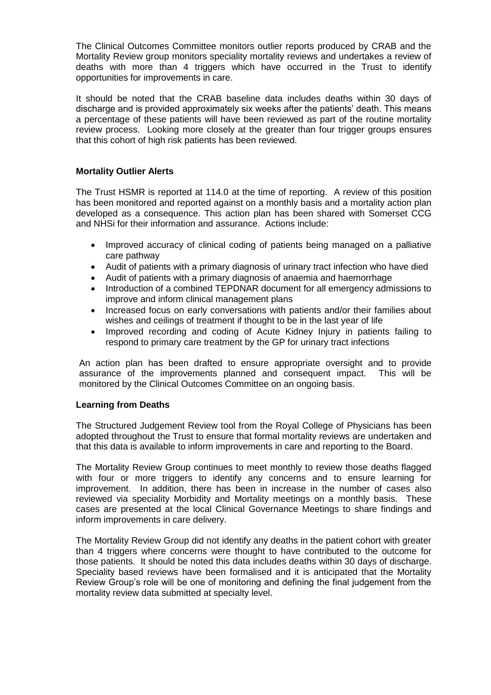The Clinical Outcomes Committee monitors outlier reports produced by CRAB and the Mortality Review group monitors speciality mortality reviews and undertakes a review of deaths with more than 4 triggers which have occurred in the Trust to identify opportunities for improvements in care.

It should be noted that the CRAB baseline data includes deaths within 30 days of discharge and is provided approximately six weeks after the patients' death. This means a percentage of these patients will have been reviewed as part of the routine mortality review process. Looking more closely at the greater than four trigger groups ensures that this cohort of high risk patients has been reviewed.

## **Mortality Outlier Alerts**

The Trust HSMR is reported at 114.0 at the time of reporting. A review of this position has been monitored and reported against on a monthly basis and a mortality action plan developed as a consequence. This action plan has been shared with Somerset CCG and NHSi for their information and assurance. Actions include:

- Improved accuracy of clinical coding of patients being managed on a palliative care pathway
- Audit of patients with a primary diagnosis of urinary tract infection who have died
- Audit of patients with a primary diagnosis of anaemia and haemorrhage
- Introduction of a combined TEPDNAR document for all emergency admissions to improve and inform clinical management plans
- Increased focus on early conversations with patients and/or their families about wishes and ceilings of treatment if thought to be in the last year of life
- Improved recording and coding of Acute Kidney Injury in patients failing to respond to primary care treatment by the GP for urinary tract infections

An action plan has been drafted to ensure appropriate oversight and to provide assurance of the improvements planned and consequent impact. This will be monitored by the Clinical Outcomes Committee on an ongoing basis.

### **Learning from Deaths**

The Structured Judgement Review tool from the Royal College of Physicians has been adopted throughout the Trust to ensure that formal mortality reviews are undertaken and that this data is available to inform improvements in care and reporting to the Board.

The Mortality Review Group continues to meet monthly to review those deaths flagged with four or more triggers to identify any concerns and to ensure learning for improvement. In addition, there has been in increase in the number of cases also reviewed via speciality Morbidity and Mortality meetings on a monthly basis. These cases are presented at the local Clinical Governance Meetings to share findings and inform improvements in care delivery.

The Mortality Review Group did not identify any deaths in the patient cohort with greater than 4 triggers where concerns were thought to have contributed to the outcome for those patients. It should be noted this data includes deaths within 30 days of discharge. Speciality based reviews have been formalised and it is anticipated that the Mortality Review Group's role will be one of monitoring and defining the final judgement from the mortality review data submitted at specialty level.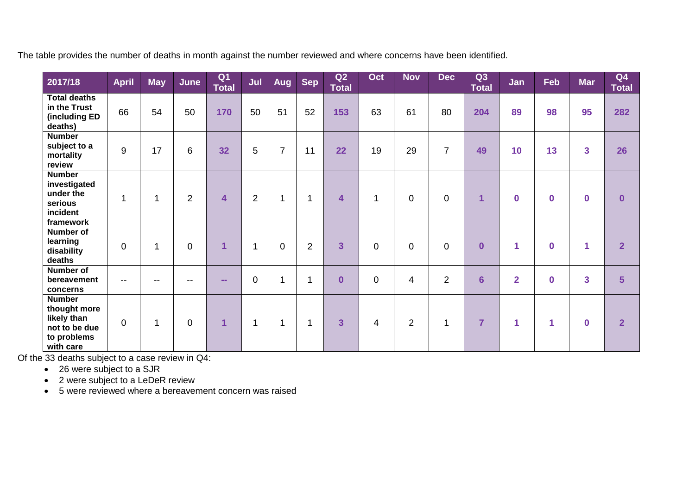The table provides the number of deaths in month against the number reviewed and where concerns have been identified.

| 2017/18                                                                                   | <b>April</b>   | <b>May</b>   | June           | Q <sub>1</sub><br>Total | Jul            | Aug            | <b>Sep</b>     | Q2<br><b>Total</b>      | Oct         | <b>Nov</b>     | <b>Dec</b>     | Q3<br><b>Total</b>      | Jan            | Feb         | <b>Mar</b>              | Q <sub>4</sub><br><b>Total</b> |
|-------------------------------------------------------------------------------------------|----------------|--------------|----------------|-------------------------|----------------|----------------|----------------|-------------------------|-------------|----------------|----------------|-------------------------|----------------|-------------|-------------------------|--------------------------------|
| <b>Total deaths</b><br>in the Trust<br>(including ED<br>deaths)                           | 66             | 54           | 50             | 170                     | 50             | 51             | 52             | 153                     | 63          | 61             | 80             | 204                     | 89             | 98          | 95                      | 282                            |
| <b>Number</b><br>subject to a<br>mortality<br>review                                      | 9              | 17           | 6              | 32                      | 5              | $\overline{7}$ | 11             | 22                      | 19          | 29             | $\overline{7}$ | 49                      | 10             | 13          | $\overline{\mathbf{3}}$ | 26                             |
| <b>Number</b><br>investigated<br>under the<br>serious<br>incident<br>framework            | $\overline{1}$ | 1            | $\overline{2}$ | 4                       | $\overline{2}$ | $\mathbf{1}$   | $\mathbf{1}$   | $\overline{\mathbf{4}}$ | 1           | $\mathbf 0$    | $\mathbf 0$    | 1                       | $\bf{0}$       | $\mathbf 0$ | $\bf{0}$                | $\bf{0}$                       |
| <b>Number of</b><br>learning<br>disability<br>deaths                                      | $\mathbf 0$    | $\mathbf{1}$ | $\overline{0}$ | 1                       | 1              | $\mathbf 0$    | $\overline{2}$ | $\overline{3}$          | $\mathbf 0$ | $\mathbf 0$    | $\mathbf 0$    | $\overline{\mathbf{0}}$ | 1              | $\mathbf 0$ | 1                       | $\overline{2}$                 |
| <b>Number of</b><br>bereavement<br>concerns                                               | $- -$          | $-$          | $- -$          | $\sim$ $\sim$           | $\mathbf 0$    | $\mathbf{1}$   | $\mathbf{1}$   | $\bf{0}$                | $\mathbf 0$ | $\overline{4}$ | $\overline{2}$ | $6\phantom{1}$          | $\overline{2}$ | $\bf{0}$    | $\overline{\mathbf{3}}$ | 5                              |
| <b>Number</b><br>thought more<br>likely than<br>not to be due<br>to problems<br>with care | $\mathbf 0$    | 1            | $\mathbf 0$    | $\mathbf{1}$            | 1              | 1              | $\mathbf{1}$   | $\overline{\mathbf{3}}$ | 4           | $\overline{2}$ | $\mathbf{1}$   | $\overline{7}$          | 1              | 1           | $\bf{0}$                | $\overline{2}$                 |

Of the 33 deaths subject to a case review in Q4:

• 26 were subject to a SJR

• 2 were subject to a LeDeR review

5 were reviewed where a bereavement concern was raised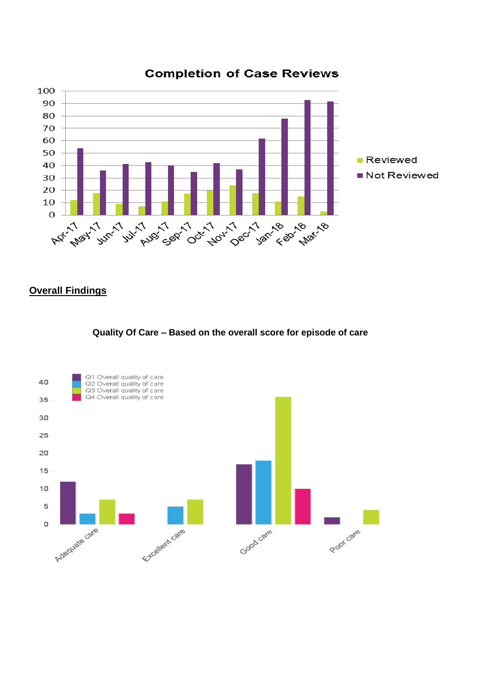

# **Completion of Case Reviews**

# **Overall Findings**

### **Quality Of Care – Based on the overall score for episode of care**

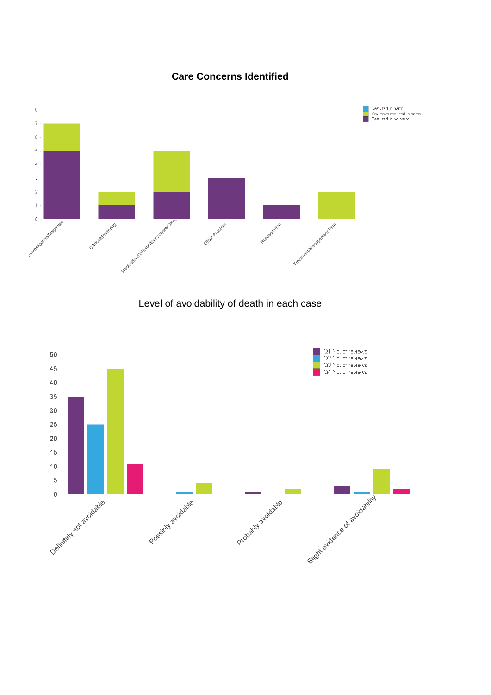

**Care Concerns Identified**

Level of avoidability of death in each case